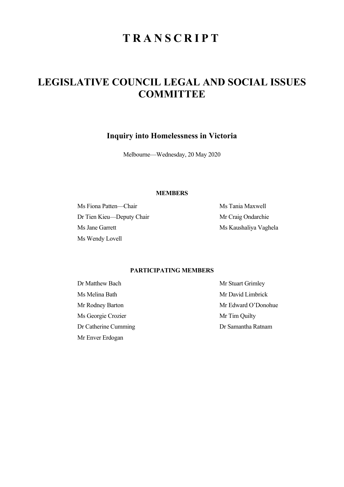# **TRANSCRIPT**

# **LEGISLATIVE COUNCIL LEGAL AND SOCIAL ISSUES COMMITTEE**

**Inquiry into Homelessness in Victoria** 

Melbourne—Wednesday, 20 May 2020

### **MEMBERS**

Ms Fiona Patten—Chair Ms Tania Maxwell Dr Tien Kieu—Deputy Chair Mr Craig Ondarchie Ms Jane Garrett Ms Kaushaliya Vaghela Ms Wendy Lovell

## **PARTICIPATING MEMBERS**

Dr Matthew Bach Mr Stuart Grimley Ms Melina Bath Mr David Limbrick Ms Georgie Crozier Mr Tim Quilty Dr Catherine Cumming Dr Samantha Ratnam Mr Enver Erdogan

Mr Rodney Barton Mr Edward O'Donohue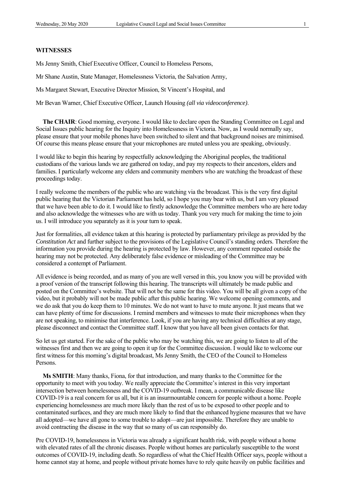#### **WITNESSES**

Ms Jenny Smith, Chief Executive Officer, Council to Homeless Persons,

Mr Shane Austin, State Manager, Homelessness Victoria, the Salvation Army,

Ms Margaret Stewart, Executive Director Mission, St Vincent's Hospital, and

Mr Bevan Warner, Chief Executive Officer, Launch Housing *(all via videoconference)*.

**The CHAIR**: Good morning, everyone. I would like to declare open the Standing Committee on Legal and Social Issues public hearing for the Inquiry into Homelessness in Victoria. Now, as I would normally say, please ensure that your mobile phones have been switched to silent and that background noises are minimised. Of course this means please ensure that your microphones are muted unless you are speaking, obviously.

I would like to begin this hearing by respectfully acknowledging the Aboriginal peoples, the traditional custodians of the various lands we are gathered on today, and pay my respects to their ancestors, elders and families. I particularly welcome any elders and community members who are watching the broadcast of these proceedings today.

I really welcome the members of the public who are watching via the broadcast. This is the very first digital public hearing that the Victorian Parliament has held, so I hope you may bear with us, but I am very pleased that we have been able to do it. I would like to firstly acknowledge the Committee members who are here today and also acknowledge the witnesses who are with us today. Thank you very much for making the time to join us. I will introduce you separately as it is your turn to speak.

Just for formalities, all evidence taken at this hearing is protected by parliamentary privilege as provided by the *Constitution Act* and further subject to the provisions of the Legislative Council's standing orders. Therefore the information you provide during the hearing is protected by law. However, any comment repeated outside the hearing may not be protected. Any deliberately false evidence or misleading of the Committee may be considered a contempt of Parliament.

All evidence is being recorded, and as many of you are well versed in this, you know you will be provided with a proof version of the transcript following this hearing. The transcripts will ultimately be made public and posted on the Committee's website. That will not be the same for this video. You will be all given a copy of the video, but it probably will not be made public after this public hearing. We welcome opening comments, and we do ask that you do keep them to 10 minutes. We do not want to have to mute anyone. It just means that we can have plenty of time for discussions. I remind members and witnesses to mute their microphones when they are not speaking, to minimise that interference. Look, if you are having any technical difficulties at any stage, please disconnect and contact the Committee staff. I know that you have all been given contacts for that.

So let us get started. For the sake of the public who may be watching this, we are going to listen to all of the witnesses first and then we are going to open it up for the Committee discussion. I would like to welcome our first witness for this morning's digital broadcast, Ms Jenny Smith, the CEO of the Council to Homeless Persons.

**Ms SMITH**: Many thanks, Fiona, for that introduction, and many thanks to the Committee for the opportunity to meet with you today. We really appreciate the Committee's interest in this very important intersection between homelessness and the COVID-19 outbreak. I mean, a communicable disease like COVID-19 is a real concern for us all, but it is an insurmountable concern for people without a home. People experiencing homelessness are much more likely than the rest of us to be exposed to other people and to contaminated surfaces, and they are much more likely to find that the enhanced hygiene measures that we have all adopted—we have all gone to some trouble to adopt—are just impossible. Therefore they are unable to avoid contracting the disease in the way that so many of us can responsibly do.

Pre COVID-19, homelessness in Victoria was already a significant health risk, with people without a home with elevated rates of all the chronic diseases. People without homes are particularly susceptible to the worst outcomes of COVID-19, including death. So regardless of what the Chief Health Officer says, people without a home cannot stay at home, and people without private homes have to rely quite heavily on public facilities and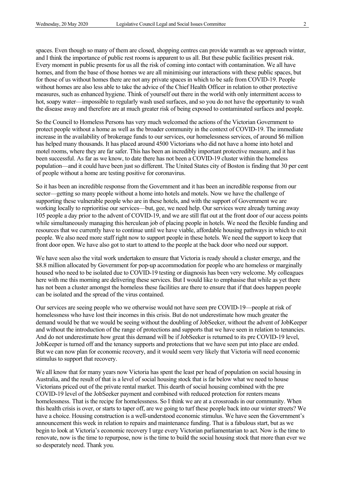spaces. Even though so many of them are closed, shopping centres can provide warmth as we approach winter, and I think the importance of public rest rooms is apparent to us all. But these public facilities present risk. Every moment in public presents for us all the risk of coming into contact with contamination. We all have homes, and from the base of those homes we are all minimising our interactions with these public spaces, but for those of us without homes there are not any private spaces in which to be safe from COVID-19. People without homes are also less able to take the advice of the Chief Health Officer in relation to other protective measures, such as enhanced hygiene. Think of yourself out there in the world with only intermittent access to hot, soapy water—impossible to regularly wash used surfaces, and so you do not have the opportunity to wash the disease away and therefore are at much greater risk of being exposed to contaminated surfaces and people.

So the Council to Homeless Persons has very much welcomed the actions of the Victorian Government to protect people without a home as well as the broader community in the context of COVID-19. The immediate increase in the availability of brokerage funds to our services, our homelessness services, of around \$6 million has helped many thousands. It has placed around 4500 Victorians who did not have a home into hotel and motel rooms, where they are far safer. This has been an incredibly important protective measure, and it has been successful. As far as we know, to date there has not been a COVID-19 cluster within the homeless population—and it could have been just so different. The United States city of Boston is finding that 30 per cent of people without a home are testing positive for coronavirus.

So it has been an incredible response from the Government and it has been an incredible response from our sector—getting so many people without a home into hotels and motels. Now we have the challenge of supporting these vulnerable people who are in these hotels, and with the support of Government we are working locally to reprioritise our services—but, gee, we need help. Our services were already turning away 105 people a day prior to the advent of COVID-19, and we are still flat out at the front door of our access points while simultaneously managing this herculean job of placing people in hotels. We need the flexible funding and resources that we currently have to continue until we have viable, affordable housing pathways in which to exit people. We also need more staff right now to support people in these hotels. We need the support to keep that front door open. We have also got to start to attend to the people at the back door who need our support.

We have seen also the vital work undertaken to ensure that Victoria is ready should a cluster emerge, and the \$8.8 million allocated by Government for pop-up accommodation for people who are homeless or marginally housed who need to be isolated due to COVID-19 testing or diagnosis has been very welcome. My colleagues here with me this morning are delivering these services. But I would like to emphasise that while as yet there has not been a cluster amongst the homeless these facilities are there to ensure that if that does happen people can be isolated and the spread of the virus contained.

Our services are seeing people who we otherwise would not have seen pre COVID-19—people at risk of homelessness who have lost their incomes in this crisis. But do not underestimate how much greater the demand would be that we would be seeing without the doubling of JobSeeker, without the advent of JobKeeper and without the introduction of the range of protections and supports that we have seen in relation to tenancies. And do not underestimate how great this demand will be if JobSeeker is returned to its pre COVID-19 level, JobKeeper is turned off and the tenancy supports and protections that we have seen put into place are ended. But we can now plan for economic recovery, and it would seem very likely that Victoria will need economic stimulus to support that recovery.

We all know that for many years now Victoria has spent the least per head of population on social housing in Australia, and the result of that is a level of social housing stock that is far below what we need to house Victorians priced out of the private rental market. This dearth of social housing combined with the pre COVID-19 level of the JobSeeker payment and combined with reduced protection for renters means homelessness. That is the recipe for homelessness. So I think we are at a crossroads in our community. When this health crisis is over, or starts to taper off, are we going to turf these people back into our winter streets? We have a choice. Housing construction is a well-understood economic stimulus. We have seen the Government's announcement this week in relation to repairs and maintenance funding. That is a fabulous start, but as we begin to look at Victoria's economic recovery I urge every Victorian parliamentarian to act. Now is the time to renovate, now is the time to repurpose, now is the time to build the social housing stock that more than ever we so desperately need. Thank you.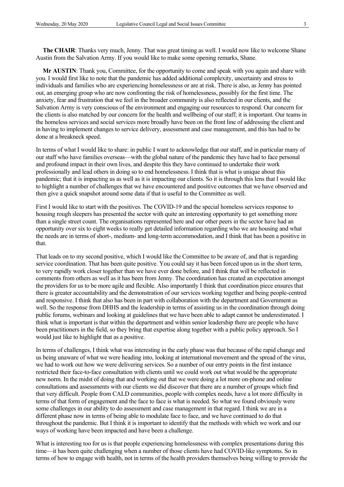**The CHAIR**: Thanks very much, Jenny. That was great timing as well. I would now like to welcome Shane Austin from the Salvation Army. If you would like to make some opening remarks, Shane.

**Mr AUSTIN**: Thank you, Committee, for the opportunity to come and speak with you again and share with you. I would first like to note that the pandemic has added additional complexity, uncertainty and stress to individuals and families who are experiencing homelessness or are at risk. There is also, as Jenny has pointed out, an emerging group who are now confronting the risk of homelessness, possibly for the first time. The anxiety, fear and frustration that we feel in the broader community is also reflected in our clients, and the Salvation Army is very conscious of the environment and engaging our resources to respond. Our concern for the clients is also matched by our concern for the health and wellbeing of our staff; it is important. Our teams in the homeless services and social services more broadly have been on the front line of addressing the client and in having to implement changes to service delivery, assessment and case management, and this has had to be done at a breakneck speed.

In terms of what I would like to share: in public I want to acknowledge that our staff, and in particular many of our staff who have families overseas—with the global nature of the pandemic they have had to face personal and profound impact in their own lives, and despite this they have continued to undertake their work professionally and lead others in doing so to end homelessness. I think that is what is unique about this pandemic; that it is impacting us as well as it is impacting our clients. So it is through this lens that I would like to highlight a number of challenges that we have encountered and positive outcomes that we have observed and then give a quick snapshot around some data if that is useful to the Committee as well.

First I would like to start with the positives. The COVID-19 and the special homeless services response to housing rough sleepers has presented the sector with quite an interesting opportunity to get something more than a single street count. The organisations represented here and our other peers in the sector have had an opportunity over six to eight weeks to really get detailed information regarding who we are housing and what the needs are in terms of short-, medium- and long-term accommodation, and I think that has been a positive in that.

That leads on to my second positive, which I would like the Committee to be aware of, and that is regarding service coordination. That has been quite positive. You could say it has been forced upon us in the short term, to very rapidly work closer together than we have ever done before, and I think that will be reflected in comments from others as well as it has been from Jenny. The coordination has created an expectation amongst the providers for us to be more agile and flexible. Also importantly I think that coordination piece ensures that there is greater accountability and the demonstration of our services working together and being people-centred and responsive. I think that also has been in part with collaboration with the department and Government as well. So the response from DHHS and the leadership in terms of assisting us in the coordination through doing public forums, webinars and looking at guidelines that we have been able to adapt cannot be underestimated. I think what is important is that within the department and within senior leadership there are people who have been practitioners in the field, so they bring that expertise along together with a public policy approach. So I would just like to highlight that as a positive.

In terms of challenges, I think what was interesting in the early phase was that because of the rapid change and us being unaware of what we were heading into, looking at international movement and the spread of the virus, we had to work out how we were delivering services. So a number of our entry points in the first instance restricted their face-to-face consultation with clients until we could work out what would be the appropriate new norm. In the midst of doing that and working out that we were doing a lot more on-phone and online consultations and assessments with our clients we did discover that there are a number of groups which find that very difficult. People from CALD communities, people with complex needs, have a lot more difficulty in terms of that form of engagement and the face to face is what is needed. So what we found obviously were some challenges in our ability to do assessment and case management in that regard. I think we are in a different phase now in terms of being able to modulate face to face, and we have continued to do that throughout the pandemic. But I think it is important to identify that the methods with which we work and our ways of working have been impacted and have been a challenge.

What is interesting too for us is that people experiencing homelessness with complex presentations during this time—it has been quite challenging when a number of those clients have had COVID-like symptoms. So in terms of how to engage with health, not in terms of the health providers themselves being willing to provide the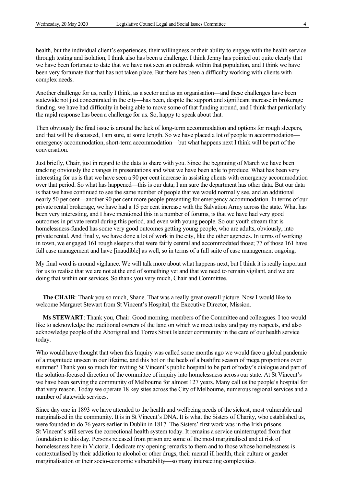health, but the individual client's experiences, their willingness or their ability to engage with the health service through testing and isolation, I think also has been a challenge. I think Jenny has pointed out quite clearly that we have been fortunate to date that we have not seen an outbreak within that population, and I think we have been very fortunate that that has not taken place. But there has been a difficulty working with clients with complex needs.

Another challenge for us, really I think, as a sector and as an organisation—and these challenges have been statewide not just concentrated in the city—has been, despite the support and significant increase in brokerage funding, we have had difficulty in being able to move some of that funding around, and I think that particularly the rapid response has been a challenge for us. So, happy to speak about that.

Then obviously the final issue is around the lack of long-term accommodation and options for rough sleepers, and that will be discussed, I am sure, at some length. So we have placed a lot of people in accommodationemergency accommodation, short-term accommodation—but what happens next I think will be part of the conversation.

Just briefly, Chair, just in regard to the data to share with you. Since the beginning of March we have been tracking obviously the changes in presentations and what we have been able to produce. What has been very interesting for us is that we have seen a 90 per cent increase in assisting clients with emergency accommodation over that period. So what has happened—this is our data; I am sure the department has other data. But our data is that we have continued to see the same number of people that we would normally see, and an additional nearly 50 per cent—another 90 per cent more people presenting for emergency accommodation. In terms of our private rental brokerage, we have had a 15 per cent increase with the Salvation Army across the state. What has been very interesting, and I have mentioned this in a number of forums, is that we have had very good outcomes in private rental during this period, and even with young people. So our youth stream that is homelessness-funded has some very good outcomes getting young people, who are adults, obviously, into private rental. And finally, we have done a lot of work in the city, like the other agencies. In terms of working in town, we engaged 161 rough sleepers that were fairly central and accommodated those; 77 of those 161 have full case management and have [inaudible] as well, so in terms of a full suite of case management ongoing.

My final word is around vigilance. We will talk more about what happens next, but I think it is really important for us to realise that we are not at the end of something yet and that we need to remain vigilant, and we are doing that within our services. So thank you very much, Chair and Committee.

**The CHAIR**: Thank you so much, Shane. That was a really great overall picture. Now I would like to welcome Margaret Stewart from St Vincent's Hospital, the Executive Director, Mission.

**Ms STEWART**: Thank you, Chair. Good morning, members of the Committee and colleagues. I too would like to acknowledge the traditional owners of the land on which we meet today and pay my respects, and also acknowledge people of the Aboriginal and Torres Strait Islander community in the care of our health service today.

Who would have thought that when this Inquiry was called some months ago we would face a global pandemic of a magnitude unseen in our lifetime, and this hot on the heels of a bushfire season of mega proportions over summer? Thank you so much for inviting St Vincent's public hospital to be part of today's dialogue and part of the solution-focused direction of the committee of inquiry into homelessness across our state. At St Vincent's we have been serving the community of Melbourne for almost 127 years. Many call us the people's hospital for that very reason. Today we operate 18 key sites across the City of Melbourne, numerous regional services and a number of statewide services.

Since day one in 1893 we have attended to the health and wellbeing needs of the sickest, most vulnerable and marginalised in the community. It is in St Vincent's DNA. It is what the Sisters of Charity, who established us, were founded to do 76 years earlier in Dublin in 1817. The Sisters' first work was in the Irish prisons. St Vincent's still serves the correctional health system today. It remains a service uninterrupted from that foundation to this day. Persons released from prison are some of the most marginalised and at risk of homelessness here in Victoria. I dedicate my opening remarks to them and to those whose homelessness is contextualised by their addiction to alcohol or other drugs, their mental ill health, their culture or gender marginalisation or their socio-economic vulnerability—so many intersecting complexities.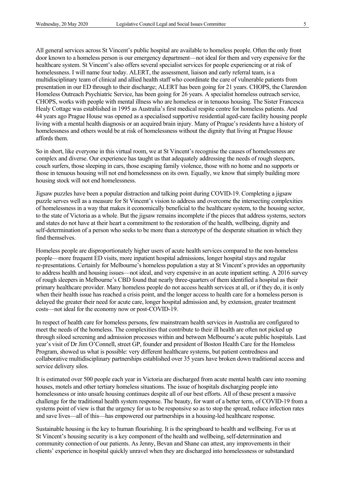All general services across St Vincent's public hospital are available to homeless people. Often the only front door known to a homeless person is our emergency department—not ideal for them and very expensive for the healthcare system. St Vincent's also offers several specialist services for people experiencing or at risk of homelessness. I will name four today. ALERT, the assessment, liaison and early referral team, is a multidisciplinary team of clinical and allied health staff who coordinate the care of vulnerable patients from presentation in our ED through to their discharge; ALERT has been going for 21 years. CHOPS, the Clarendon Homeless Outreach Psychiatric Service, has been going for 26 years. A specialist homeless outreach service, CHOPS, works with people with mental illness who are homeless or in tenuous housing. The Sister Francesca Healy Cottage was established in 1995 as Australia's first medical respite centre for homeless patients. And 44 years ago Prague House was opened as a specialised supportive residential aged-care facility housing people living with a mental health diagnosis or an acquired brain injury. Many of Prague's residents have a history of homelessness and others would be at risk of homelessness without the dignity that living at Prague House affords them.

So in short, like everyone in this virtual room, we at St Vincent's recognise the causes of homelessness are complex and diverse. Our experience has taught us that adequately addressing the needs of rough sleepers, couch surfers, those sleeping in cars, those escaping family violence, those with no home and no supports or those in tenuous housing will not end homelessness on its own. Equally, we know that simply building more housing stock will not end homelessness.

Jigsaw puzzles have been a popular distraction and talking point during COVID-19. Completing a jigsaw puzzle serves well as a measure for St Vincent's vision to address and overcome the intersecting complexities of homelessness in a way that makes it economically beneficial to the healthcare system, to the housing sector, to the state of Victoria as a whole. But the jigsaw remains incomplete if the pieces that address systems, sectors and states do not have at their heart a commitment to the restoration of the health, wellbeing, dignity and self-determination of a person who seeks to be more than a stereotype of the desperate situation in which they find themselves.

Homeless people are disproportionately higher users of acute health services compared to the non-homeless people—more frequent ED visits, more inpatient hospital admissions, longer hospital stays and regular re-presentations. Certainly for Melbourne's homeless population a stay at St Vincent's provides an opportunity to address health and housing issues—not ideal, and very expensive in an acute inpatient setting. A 2016 survey of rough sleepers in Melbourne's CBD found that nearly three-quarters of them identified a hospital as their primary healthcare provider. Many homeless people do not access health services at all, or if they do, it is only when their health issue has reached a crisis point, and the longer access to health care for a homeless person is delayed the greater their need for acute care, longer hospital admission and, by extension, greater treatment costs—not ideal for the economy now or post-COVID-19.

In respect of health care for homeless persons, few mainstream health services in Australia are configured to meet the needs of the homeless. The complexities that contribute to their ill health are often not picked up through siloed screening and admission processes within and between Melbourne's acute public hospitals. Last year's visit of Dr Jim O'Connell, street GP, founder and president of Boston Health Care for the Homeless Program, showed us what is possible: very different healthcare systems, but patient centredness and collaborative multidisciplinary partnerships established over 35 years have broken down traditional access and service delivery silos.

It is estimated over 500 people each year in Victoria are discharged from acute mental health care into rooming houses, motels and other tertiary homeless situations. The issue of hospitals discharging people into homelessness or into unsafe housing continues despite all of our best efforts. All of these present a massive challenge for the traditional health system response. The beauty, for want of a better term, of COVID-19 from a systems point of view is that the urgency for us to be responsive so as to stop the spread, reduce infection rates and save lives—all of this—has empowered our partnerships in a housing-led healthcare response.

Sustainable housing is the key to human flourishing. It is the springboard to health and wellbeing. For us at St Vincent's housing security is a key component of the health and wellbeing, self-determination and community connection of our patients. As Jenny, Bevan and Shane can attest, any improvements in their clients' experience in hospital quickly unravel when they are discharged into homelessness or substandard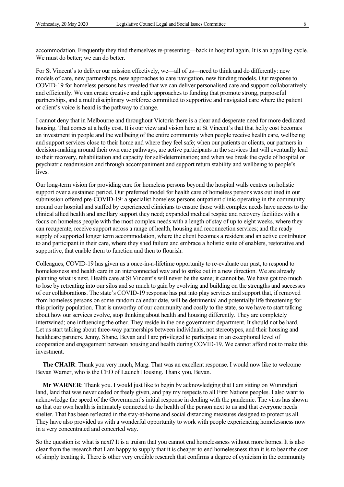accommodation. Frequently they find themselves re-presenting—back in hospital again. It is an appalling cycle. We must do better; we can do better.

For St Vincent's to deliver our mission effectively, we—all of us—need to think and do differently: new models of care, new partnerships, new approaches to care navigation, new funding models. Our response to COVID-19 for homeless persons has revealed that we can deliver personalised care and support collaboratively and efficiently. We can create creative and agile approaches to funding that promote strong, purposeful partnerships, and a multidisciplinary workforce committed to supportive and navigated care where the patient or client's voice is heard is the pathway to change.

I cannot deny that in Melbourne and throughout Victoria there is a clear and desperate need for more dedicated housing. That comes at a hefty cost. It is our view and vision here at St Vincent's that that hefty cost becomes an investment in people and the wellbeing of the entire community when people receive health care, wellbeing and support services close to their home and where they feel safe; when our patients or clients, our partners in decision-making around their own care pathways, are active participants in the services that will eventually lead to their recovery, rehabilitation and capacity for self-determination; and when we break the cycle of hospital or psychiatric readmission and through accompaniment and support return stability and wellbeing to people's lives.

Our long-term vision for providing care for homeless persons beyond the hospital walls centres on holistic support over a sustained period. Our preferred model for health care of homeless persons was outlined in our submission offered pre-COVID-19: a specialist homeless persons outpatient clinic operating in the community around our hospital and staffed by experienced clinicians to ensure those with complex needs have access to the clinical allied health and ancillary support they need; expanded medical respite and recovery facilities with a focus on homeless people with the most complex needs with a length of stay of up to eight weeks, where they can recuperate, receive support across a range of health, housing and reconnection services; and the ready supply of supported longer term accommodation, where the client becomes a resident and an active contributor to and participant in their care, where they shed failure and embrace a holistic suite of enablers, restorative and supportive, that enable them to function and then to flourish.

Colleagues, COVID-19 has given us a once-in-a-lifetime opportunity to re-evaluate our past, to respond to homelessness and health care in an interconnected way and to strike out in a new direction. We are already planning what is next. Health care at St Vincent's will never be the same; it cannot be. We have got too much to lose by retreating into our silos and so much to gain by evolving and building on the strengths and successes of our collaborations. The state's COVID-19 response has put into play services and support that, if removed from homeless persons on some random calendar date, will be detrimental and potentially life threatening for this priority population. That is unworthy of our community and costly to the state, so we have to start talking about how our services evolve, stop thinking about health and housing differently. They are completely intertwined; one influencing the other. They reside in the one government department. It should not be hard. Let us start talking about three-way partnerships between individuals, not stereotypes, and their housing and healthcare partners. Jenny, Shane, Bevan and I are privileged to participate in an exceptional level of cooperation and engagement between housing and health during COVID-19. We cannot afford not to make this investment.

**The CHAIR**: Thank you very much, Marg. That was an excellent response. I would now like to welcome Bevan Warner, who is the CEO of Launch Housing. Thank you, Bevan.

**Mr WARNER**: Thank you. I would just like to begin by acknowledging that I am sitting on Wurundjeri land, land that was never ceded or freely given, and pay my respects to all First Nations peoples. I also want to acknowledge the speed of the Government's initial response in dealing with the pandemic. The virus has shown us that our own health is intimately connected to the health of the person next to us and that everyone needs shelter. That has been reflected in the stay-at-home and social distancing measures designed to protect us all. They have also provided us with a wonderful opportunity to work with people experiencing homelessness now in a very concentrated and concerted way.

So the question is: what is next? It is a truism that you cannot end homelessness without more homes. It is also clear from the research that I am happy to supply that it is cheaper to end homelessness than it is to bear the cost of simply treating it. There is other very credible research that confirms a degree of cynicism in the community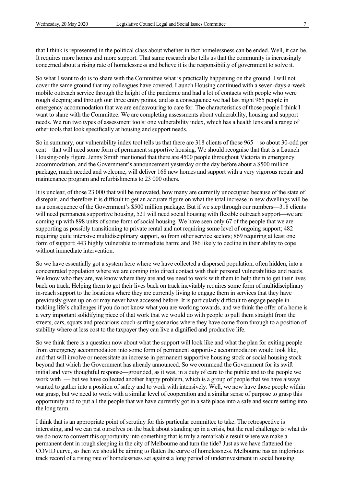that I think is represented in the political class about whether in fact homelessness can be ended. Well, it can be. It requires more homes and more support. That same research also tells us that the community is increasingly concerned about a rising rate of homelessness and believe it is the responsibility of government to solve it.

So what I want to do is to share with the Committee what is practically happening on the ground. I will not cover the same ground that my colleagues have covered. Launch Housing continued with a seven-days-a-week mobile outreach service through the height of the pandemic and had a lot of contacts with people who were rough sleeping and through our three entry points, and as a consequence we had last night 965 people in emergency accommodation that we are endeavouring to care for. The characteristics of those people I think I want to share with the Committee. We are completing assessments about vulnerability, housing and support needs. We run two types of assessment tools: one vulnerability index, which has a health lens and a range of other tools that look specifically at housing and support needs.

So in summary, our vulnerability index tool tells us that there are 318 clients of those 965—so about 30-odd per cent—that will need some form of permanent supportive housing. We should recognise that that is a Launch Housing-only figure. Jenny Smith mentioned that there are 4500 people throughout Victoria in emergency accommodation, and the Government's announcement yesterday or the day before about a \$500 million package, much needed and welcome, will deliver 168 new homes and support with a very vigorous repair and maintenance program and refurbishments to 23 000 others.

It is unclear, of those 23 000 that will be renovated, how many are currently unoccupied because of the state of disrepair, and therefore it is difficult to get an accurate figure on what the total increase in new dwellings will be as a consequence of the Government's \$500 million package. But if we step through our numbers—318 clients will need permanent supportive housing, 521 will need social housing with flexible outreach support—we are coming up with 898 units of some form of social housing. We have seen only 67 of the people that we are supporting as possibly transitioning to private rental and not requiring some level of ongoing support; 482 requiring quite intensive multidisciplinary support, so from other service sectors; 869 requiring at least one form of support; 443 highly vulnerable to immediate harm; and 386 likely to decline in their ability to cope without immediate intervention.

So we have essentially got a system here where we have collected a dispersed population, often hidden, into a concentrated population where we are coming into direct contact with their personal vulnerabilities and needs. We know who they are, we know where they are and we need to work with them to help them to get their lives back on track. Helping them to get their lives back on track inevitably requires some form of multidisciplinary in-reach support to the locations where they are currently living to engage them in services that they have previously given up on or may never have accessed before. It is particularly difficult to engage people in tackling life's challenges if you do not know what you are working towards, and we think the offer of a home is a very important solidifying piece of that work that we would do with people to pull them straight from the streets, cars, squats and precarious couch-surfing scenarios where they have come from through to a position of stability where at less cost to the taxpayer they can live a dignified and productive life.

So we think there is a question now about what the support will look like and what the plan for exiting people from emergency accommodation into some form of permanent supportive accommodation would look like, and that will involve or necessitate an increase in permanent supportive housing stock or social housing stock beyond that which the Government has already announced. So we commend the Government for its swift initial and very thoughtful response—grounded, as it was, in a duty of care to the public and to the people we work with — but we have collected another happy problem, which is a group of people that we have always wanted to gather into a position of safety and to work with intensively. Well, we now have those people within our grasp, but we need to work with a similar level of cooperation and a similar sense of purpose to grasp this opportunity and to put all the people that we have currently got in a safe place into a safe and secure setting into the long term.

I think that is an appropriate point of scrutiny for this particular committee to take. The retrospective is interesting, and we can pat ourselves on the back about standing up in a crisis, but the real challenge is: what do we do now to convert this opportunity into something that is truly a remarkable result where we make a permanent dent in rough sleeping in the city of Melbourne and turn the tide? Just as we have flattened the COVID curve, so then we should be aiming to flatten the curve of homelessness. Melbourne has an inglorious track record of a rising rate of homelessness set against a long period of underinvestment in social housing.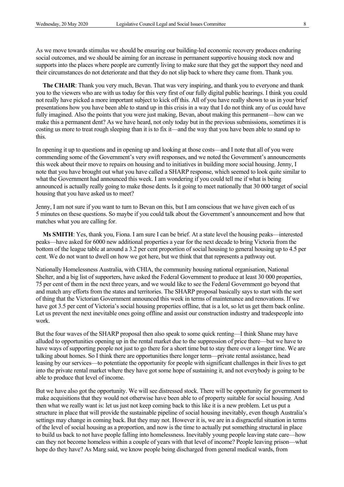As we move towards stimulus we should be ensuring our building-led economic recovery produces enduring social outcomes, and we should be aiming for an increase in permanent supportive housing stock now and supports into the places where people are currently living to make sure that they get the support they need and their circumstances do not deteriorate and that they do not slip back to where they came from. Thank you.

**The CHAIR**: Thank you very much, Bevan. That was very inspiring, and thank you to everyone and thank you to the viewers who are with us today for this very first of our fully digital public hearings. I think you could not really have picked a more important subject to kick off this. All of you have really shown to us in your brief presentations how you have been able to stand up in this crisis in a way that I do not think any of us could have fully imagined. Also the points that you were just making, Bevan, about making this permanent—how can we make this a permanent dent? As we have heard, not only today but in the previous submissions, sometimes it is costing us more to treat rough sleeping than it is to fix it—and the way that you have been able to stand up to this.

In opening it up to questions and in opening up and looking at those costs—and I note that all of you were commending some of the Government's very swift responses, and we noted the Government's announcements this week about their move to repairs on housing and to initiatives in building more social housing. Jenny, I note that you have brought out what you have called a SHARP response, which seemed to look quite similar to what the Government had announced this week. I am wondering if you could tell me if what is being announced is actually really going to make those dents. Is it going to meet nationally that 30 000 target of social housing that you have asked us to meet?

Jenny, I am not sure if you want to turn to Bevan on this, but I am conscious that we have given each of us 5 minutes on these questions. So maybe if you could talk about the Government's announcement and how that matches what you are calling for.

**Ms SMITH**: Yes, thank you, Fiona. I am sure I can be brief. At a state level the housing peaks—interested peaks—have asked for 6000 new additional properties a year for the next decade to bring Victoria from the bottom of the league table at around a 3.2 per cent proportion of social housing to general housing up to 4.5 per cent. We do not want to dwell on how we got here, but we think that that represents a pathway out.

Nationally Homelessness Australia, with CHIA, the community housing national organisation, National Shelter, and a big list of supporters, have asked the Federal Government to produce at least 30 000 properties, 75 per cent of them in the next three years, and we would like to see the Federal Government go beyond that and match any efforts from the states and territories. The SHARP proposal basically says to start with the sort of thing that the Victorian Government announced this week in terms of maintenance and renovations. If we have got 3.5 per cent of Victoria's social housing properties offline, that is a lot, so let us get them back online. Let us prevent the next inevitable ones going offline and assist our construction industry and tradespeople into work.

But the four waves of the SHARP proposal then also speak to some quick renting—I think Shane may have alluded to opportunities opening up in the rental market due to the suppression of price there—but we have to have ways of supporting people not just to go there for a short time but to stay there over a longer time. We are talking about homes. So I think there are opportunities there longer term—private rental assistance, head leasing by our services—to potentiate the opportunity for people with significant challenges in their lives to get into the private rental market where they have got some hope of sustaining it, and not everybody is going to be able to produce that level of income.

But we have also got the opportunity. We will see distressed stock. There will be opportunity for government to make acquisitions that they would not otherwise have been able to of property suitable for social housing. And then what we really want is: let us just not keep coming back to this like it is a new problem. Let us put a structure in place that will provide the sustainable pipeline of social housing inevitably, even though Australia's settings may change in coming back. But they may not. However it is, we are in a disgraceful situation in terms of the level of social housing as a proportion, and now is the time to actually put something structural in place to build us back to not have people falling into homelessness. Inevitably young people leaving state care—how can they not become homeless within a couple of years with that level of income? People leaving prison—what hope do they have? As Marg said, we know people being discharged from general medical wards, from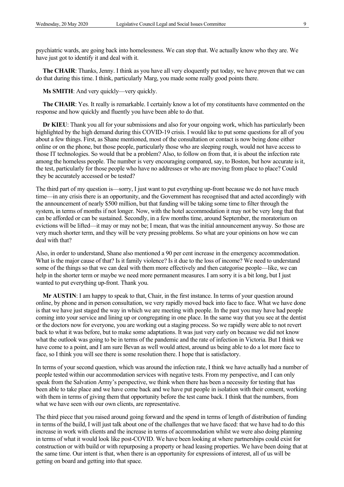psychiatric wards, are going back into homelessness. We can stop that. We actually know who they are. We have just got to identify it and deal with it.

**The CHAIR**: Thanks, Jenny. I think as you have all very eloquently put today, we have proven that we can do that during this time. I think, particularly Marg, you made some really good points there.

**Ms SMITH**: And very quickly—very quickly.

**The CHAIR**: Yes. It really is remarkable. I certainly know a lot of my constituents have commented on the response and how quickly and fluently you have been able to do that.

**Dr KIEU**: Thank you all for your submissions and also for your ongoing work, which has particularly been highlighted by the high demand during this COVID-19 crisis. I would like to put some questions for all of you about a few things. First, as Shane mentioned, most of the consultation or contact is now being done either online or on the phone, but those people, particularly those who are sleeping rough, would not have access to those IT technologies. So would that be a problem? Also, to follow on from that, it is about the infection rate among the homeless people. The number is very encouraging compared, say, to Boston, but how accurate is it, the test, particularly for those people who have no addresses or who are moving from place to place? Could they be accurately accessed or be tested?

The third part of my question is—sorry, I just want to put everything up-front because we do not have much time—in any crisis there is an opportunity, and the Government has recognised that and acted accordingly with the announcement of nearly \$500 million, but that funding will be taking some time to filter through the system, in terms of months if not longer. Now, with the hotel accommodation it may not be very long that that can be afforded or can be sustained. Secondly, in a few months time, around September, the moratorium on evictions will be lifted—it may or may not be; I mean, that was the initial announcement anyway. So those are very much shorter term, and they will be very pressing problems. So what are your opinions on how we can deal with that?

Also, in order to understand, Shane also mentioned a 90 per cent increase in the emergency accommodation. What is the major cause of that? Is it family violence? Is it due to the loss of income? We need to understand some of the things so that we can deal with them more effectively and then categorise people—like, we can help in the shorter term or maybe we need more permanent measures. I am sorry it is a bit long, but I just wanted to put everything up-front. Thank you.

**Mr AUSTIN**: I am happy to speak to that, Chair, in the first instance. In terms of your question around online, by phone and in person consultation, we very rapidly moved back into face to face. What we have done is that we have just staged the way in which we are meeting with people. In the past you may have had people coming into your service and lining up or congregating in one place. In the same way that you see at the dentist or the doctors now for everyone, you are working out a staging process. So we rapidly were able to not revert back to what it was before, but to make some adaptations. It was just very early on because we did not know what the outlook was going to be in terms of the pandemic and the rate of infection in Victoria. But I think we have come to a point, and I am sure Bevan as well would attest, around us being able to do a lot more face to face, so I think you will see there is some resolution there. I hope that is satisfactory.

In terms of your second question, which was around the infection rate, I think we have actually had a number of people tested within our accommodation services with negative tests. From my perspective, and I can only speak from the Salvation Army's perspective, we think when there has been a necessity for testing that has been able to take place and we have come back and we have put people in isolation with their consent, working with them in terms of giving them that opportunity before the test came back. I think that the numbers, from what we have seen with our own clients, are representative.

The third piece that you raised around going forward and the spend in terms of length of distribution of funding in terms of the build, I will just talk about one of the challenges that we have faced: that we have had to do this increase in work with clients and the increase in terms of accommodation whilst we were also doing planning in terms of what it would look like post-COVID. We have been looking at where partnerships could exist for construction or with build or with repurposing a property or head leasing properties. We have been doing that at the same time. Our intent is that, when there is an opportunity for expressions of interest, all of us will be getting on board and getting into that space.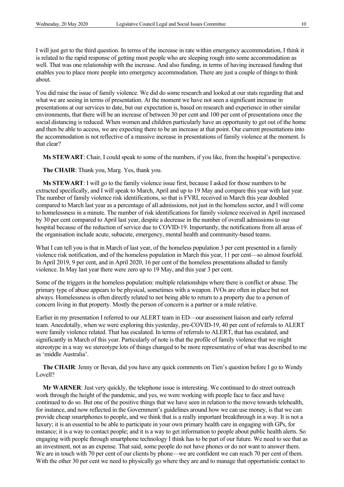I will just get to the third question. In terms of the increase in rate within emergency accommodation, I think it is related to the rapid response of getting most people who are sleeping rough into some accommodation as well. That was one relationship with the increase. And also funding, in terms of having increased funding that enables you to place more people into emergency accommodation. There are just a couple of things to think about.

You did raise the issue of family violence. We did do some research and looked at our stats regarding that and what we are seeing in terms of presentation. At the moment we have not seen a significant increase in presentations at our services to date, but our expectation is, based on research and experience in other similar environments, that there will be an increase of between 30 per cent and 100 per cent of presentations once the social distancing is reduced. When women and children particularly have an opportunity to get out of the home and then be able to access, we are expecting there to be an increase at that point. Our current presentations into the accommodation is not reflective of a massive increase in presentations of family violence at the moment. Is that clear?

**Ms STEWART**: Chair, I could speak to some of the numbers, if you like, from the hospital's perspective.

**The CHAIR**: Thank you, Marg. Yes, thank you.

**Ms STEWART**: I will go to the family violence issue first, because I asked for those numbers to be extracted specifically, and I will speak to March, April and up to 19 May and compare this year with last year. The number of family violence risk identifications, so that is FVRI, received in March this year doubled compared to March last year as a percentage of all admissions, not just in the homeless sector, and I will come to homelessness in a minute. The number of risk identifications for family violence received in April increased by 30 per cent compared to April last year, despite a decrease in the number of overall admissions to our hospital because of the reduction of service due to COVID-19. Importantly, the notifications from all areas of the organisation include acute, subacute, emergency, mental health and community-based teams.

What I can tell you is that in March of last year, of the homeless population 3 per cent presented in a family violence risk notification, and of the homeless population in March this year, 11 per cent—so almost fourfold. In April 2019, 9 per cent, and in April 2020, 16 per cent of the homeless presentations alluded to family violence. In May last year there were zero up to 19 May, and this year 3 per cent.

Some of the triggers in the homeless population: multiple relationships where there is conflict or abuse. The primary type of abuse appears to be physical, sometimes with a weapon. IVOs are often in place but not always. Homelessness is often directly related to not being able to return to a property due to a person of concern living in that property. Mostly the person of concern is a partner or a male relative.

Earlier in my presentation I referred to our ALERT team in ED—our assessment liaison and early referral team. Anecdotally, when we were exploring this yesterday, pre-COVID-19, 40 per cent of referrals to ALERT were family violence related. That has escalated. In terms of referrals to ALERT, that has escalated, and significantly in March of this year. Particularly of note is that the profile of family violence that we might stereotype in a way we stereotype lots of things changed to be more representative of what was described to me as 'middle Australia'.

**The CHAIR**: Jenny or Bevan, did you have any quick comments on Tien's question before I go to Wendy Lovell?

**Mr WARNER**: Just very quickly, the telephone issue is interesting. We continued to do street outreach work through the height of the pandemic, and yes, we were working with people face to face and have continued to do so. But one of the positive things that we have seen in relation to the move towards telehealth, for instance, and now reflected in the Government's guidelines around how we can use money, is that we can provide cheap smartphones to people, and we think that is a really important breakthrough in a way. It is not a luxury; it is an essential to be able to participate in your own primary health care in engaging with GPs, for instance; it is a way to contact people; and it is a way to get information to people about public health alerts. So engaging with people through smartphone technology I think has to be part of our future. We need to see that as an investment, not as an expense. That said, some people do not have phones or do not want to answer them. We are in touch with 70 per cent of our clients by phone—we are confident we can reach 70 per cent of them. With the other 30 per cent we need to physically go where they are and to manage that opportunistic contact to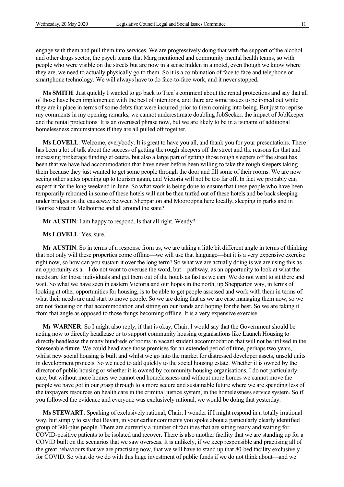engage with them and pull them into services. We are progressively doing that with the support of the alcohol and other drugs sector, the psych teams that Marg mentioned and community mental health teams, so with people who were visible on the streets but are now in a sense hidden in a motel, even though we know where they are, we need to actually physically go to them. So it is a combination of face to face and telephone or smartphone technology. We will always have to do face-to-face work, and it never stopped.

**Ms SMITH**: Just quickly I wanted to go back to Tien's comment about the rental protections and say that all of those have been implemented with the best of intentions, and there are some issues to be ironed out while they are in place in terms of some debts that were incurred prior to them coming into being. But just to reprise my comments in my opening remarks, we cannot underestimate doubling JobSeeker, the impact of JobKeeper and the rental protections. It is an overused phrase now, but we are likely to be in a tsunami of additional homelessness circumstances if they are all pulled off together.

**Ms LOVELL**: Welcome, everybody. It is great to have you all, and thank you for your presentations. There has been a lot of talk about the success of getting the rough sleepers off the street and the reasons for that and increasing brokerage funding et cetera, but also a large part of getting those rough sleepers off the street has been that we have had accommodation that have never before been willing to take the rough sleepers taking them because they just wanted to get some people through the door and fill some of their rooms. We are now seeing other states opening up to tourism again, and Victoria will not be too far off. In fact we probably can expect it for the long weekend in June. So what work is being done to ensure that these people who have been temporarily rehomed in some of these hotels will not be then turfed out of these hotels and be back sleeping under bridges on the causeway between Shepparton and Mooroopna here locally, sleeping in parks and in Bourke Street in Melbourne and all around the state?

**Mr AUSTIN**: I am happy to respond. Is that all right, Wendy?

**Ms LOVELL**: Yes, sure.

**Mr AUSTIN**: So in terms of a response from us, we are taking a little bit different angle in terms of thinking that not only will these properties come offline—we will use that language—but it is a very expensive exercise right now, so how can you sustain it over the long term? So what we are actually doing is we are using this as an opportunity as a—I do not want to overuse the word, but—pathway, as an opportunity to look at what the needs are for those individuals and get them out of the hotels as fast as we can. We do not want to sit there and wait. So what we have seen in eastern Victoria and our hopes in the north, up Shepparton way, in terms of looking at other opportunities for housing, is to be able to get people assessed and work with them in terms of what their needs are and start to move people. So we are doing that as we are case managing them now, so we are not focusing on that accommodation and sitting on our hands and hoping for the best. So we are taking it from that angle as opposed to those things becoming offline. It is a very expensive exercise.

**Mr WARNER**: So I might also reply, if that is okay, Chair. I would say that the Government should be acting now to directly headlease or to support community housing organisations like Launch Housing to directly headlease the many hundreds of rooms in vacant student accommodation that will not be utilised in the foreseeable future. We could headlease those premises for an extended period of time, perhaps two years, whilst new social housing is built and whilst we go into the market for distressed developer assets, unsold units in development projects. So we need to add quickly to the social housing estate. Whether it is owned by the director of public housing or whether it is owned by community housing organisations, I do not particularly care, but without more homes we cannot end homelessness and without more homes we cannot move the people we have got in our grasp through to a more secure and sustainable future where we are spending less of the taxpayers resources on health care in the criminal justice system, in the homelessness service system. So if you followed the evidence and everyone was exclusively rational, we would be doing that yesterday.

**Ms STEWART**: Speaking of exclusively rational, Chair, I wonder if I might respond in a totally irrational way, but simply to say that Bevan, in your earlier comments you spoke about a particularly clearly identified group of 300-plus people. There are currently a number of facilities that are sitting ready and waiting for COVID-positive patients to be isolated and recover. There is also another facility that we are standing up for a COVID built on the scenarios that we saw overseas. It is unlikely, if we keep responsible and practising all of the great behaviours that we are practising now, that we will have to stand up that 80-bed facility exclusively for COVID. So what do we do with this huge investment of public funds if we do not think about—and we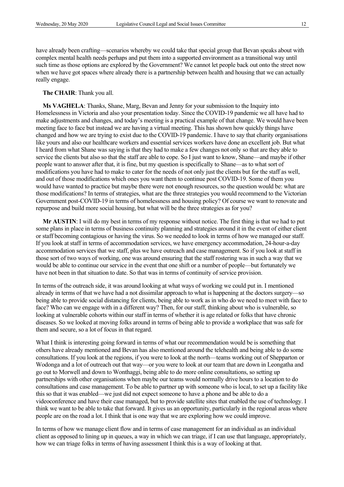have already been crafting—scenarios whereby we could take that special group that Bevan speaks about with complex mental health needs perhaps and put them into a supported environment as a transitional way until such time as those options are explored by the Government? We cannot let people back out onto the street now when we have got spaces where already there is a partnership between health and housing that we can actually really engage.

#### **The CHAIR**: Thank you all.

**Ms VAGHELA**: Thanks, Shane, Marg, Bevan and Jenny for your submission to the Inquiry into Homelessness in Victoria and also your presentation today. Since the COVID-19 pandemic we all have had to make adjustments and changes, and today's meeting is a practical example of that change. We would have been meeting face to face but instead we are having a virtual meeting. This has shown how quickly things have changed and how we are trying to exist due to the COVID-19 pandemic. I have to say that charity organisations like yours and also our healthcare workers and essential services workers have done an excellent job. But what I heard from what Shane was saying is that they had to make a few changes not only so that are they able to service the clients but also so that the staff are able to cope. So I just want to know, Shane—and maybe if other people want to answer after that, it is fine, but my question is specifically to Shane—as to what sort of modifications you have had to make to cater for the needs of not only just the clients but for the staff as well, and out of those modifications which ones you want them to continue post COVID-19. Some of them you would have wanted to practice but maybe there were not enough resources, so the question would be: what are those modifications? In terms of strategies, what are the three strategies you would recommend to the Victorian Government post-COVID-19 in terms of homelessness and housing policy? Of course we want to renovate and repurpose and build more social housing, but what will be the three strategies as for you?

**Mr AUSTIN**: I will do my best in terms of my response without notice. The first thing is that we had to put some plans in place in terms of business continuity planning and strategies around it in the event of either client or staff becoming contagious or having the virus. So we needed to look in terms of how we managed our staff. If you look at staff in terms of accommodation services, we have emergency accommodation, 24-hour-a-day accommodation services that we staff, plus we have outreach and case management. So if you look at staff in those sort of two ways of working, one was around ensuring that the staff rostering was in such a way that we would be able to continue our service in the event that one shift or a number of people—but fortunately we have not been in that situation to date. So that was in terms of continuity of service provision.

In terms of the outreach side, it was around looking at what ways of working we could put in. I mentioned already in terms of that we have had a not dissimilar approach to what is happening at the doctors surgery—so being able to provide social distancing for clients, being able to work as in who do we need to meet with face to face? Who can we engage with in a different way? Then, for our staff, thinking about who is vulnerable, so looking at vulnerable cohorts within our staff in terms of whether it is age related or folks that have chronic diseases. So we looked at moving folks around in terms of being able to provide a workplace that was safe for them and secure, so a lot of focus in that regard.

What I think is interesting going forward in terms of what our recommendation would be is something that others have already mentioned and Bevan has also mentioned around the telehealth and being able to do some consultations. If you look at the regions, if you were to look at the north—teams working out of Shepparton or Wodonga and a lot of outreach out that way—or you were to look at our team that are down in Leongatha and go out to Morwell and down to Wonthaggi, being able to do more online consultations, so setting up partnerships with other organisations when maybe our teams would normally drive hours to a location to do consultations and case management. To be able to partner up with someone who is local, to set up a facility like this so that it was enabled—we just did not expect someone to have a phone and be able to do a videoconference and have their case managed, but to provide satellite sites that enabled the use of technology. I think we want to be able to take that forward. It gives us an opportunity, particularly in the regional areas where people are on the road a lot. I think that is one way that we are exploring how we could improve.

In terms of how we manage client flow and in terms of case management for an individual as an individual client as opposed to lining up in queues, a way in which we can triage, if I can use that language, appropriately, how we can triage folks in terms of having assessment I think this is a way of looking at that.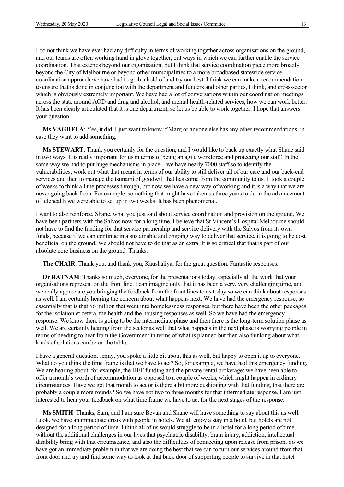I do not think we have ever had any difficulty in terms of working together across organisations on the ground, and our teams are often working hand in glove together, but ways in which we can further enable the service coordination. That extends beyond our organisation, but I think that service coordination piece more broadly beyond the City of Melbourne or beyond other municipalities to a more broadbased statewide service coordination approach we have had to grab a hold of and try our best. I think we can make a recommendation to ensure that is done in conjunction with the department and funders and other parties, I think, and cross-sector which is obviously extremely important. We have had a lot of conversations within our coordination meetings across the state around AOD and drug and alcohol, and mental health-related services, how we can work better. It has been clearly articulated that it is one department, so let us be able to work together. I hope that answers your question.

**Ms VAGHELA**: Yes, it did. I just want to know if Marg or anyone else has any other recommendations, in case they want to add something.

**Ms STEWART**: Thank you certainly for the question, and I would like to back up exactly what Shane said in two ways. It is really important for us in terms of being an agile workforce and protecting our staff. In the same way we had to put huge mechanisms in place—we have nearly 7000 staff so to identify the vulnerabilities, work out what that meant in terms of our ability to still deliver all of our care and our back-end services and then to manage the tsunami of goodwill that has come from the community to us. It took a couple of weeks to think all the processes through, but now we have a new way of working and it is a way that we are never going back from. For example, something that might have taken us three years to do in the advancement of telehealth we were able to set up in two weeks. It has been phenomenal.

I want to also reinforce, Shane, what you just said about service coordination and provision on the ground. We have been partners with the Salvos now for a long time. I believe that St Vincent's Hospital Melbourne should not have to find the funding for that service partnership and service delivery with the Salvos from its own funds, because if we can continue in a sustainable and ongoing way to deliver that service, it is going to be cost beneficial on the ground. We should not have to do that as an extra. It is so critical that that is part of our absolute core business on the ground. Thanks.

**The CHAIR**: Thank you, and thank you, Kaushaliya, for the great question. Fantastic responses.

**Dr RATNAM**: Thanks so much, everyone, for the presentations today, especially all the work that your organisations represent on the front line. I can imagine only that it has been a very, very challenging time, and we really appreciate you bringing the feedback from the front lines to us today so we can think about responses as well. I am certainly hearing the concern about what happens next. We have had the emergency response, so essentially that is that \$6 million that went into homelessness responses, but there have been the other packages for the isolation et cetera, the health and the housing responses as well. So we have had the emergency response. We know there is going to be the intermediate phase and then there is the long-term solution phase as well. We are certainly hearing from the sector as well that what happens in the next phase is worrying people in terms of needing to hear from the Government in terms of what is planned but then also thinking about what kinds of solutions can be on the table.

I have a general question. Jenny, you spoke a little bit about this as well, but happy to open it up to everyone. What do you think the time frame is that we have to act? So, for example, we have had this emergency funding. We are hearing about, for example, the HEF funding and the private rental brokerage; we have been able to offer a month's worth of accommodation as opposed to a couple of weeks, which might happen in ordinary circumstances. Have we got that month to act or is there a bit more cushioning with that funding, that there are probably a couple more rounds? So we have got two to three months for that intermediate response. I am just interested to hear your feedback on what time frame we have to act for the next stages of the response.

**Ms SMITH**: Thanks, Sam, and I am sure Bevan and Shane will have something to say about this as well. Look, we have an immediate crisis with people in hotels. We all enjoy a stay in a hotel, but hotels are not designed for a long period of time. I think all of us would struggle to be in a hotel for a long period of time without the additional challenges in our lives that psychiatric disability, brain injury, addiction, intellectual disability bring with that circumstance, and also the difficulties of connecting upon release from prison. So we have got an immediate problem in that we are doing the best that we can to turn our services around from that front door and try and find some way to look at that back door of supporting people to survive in that hotel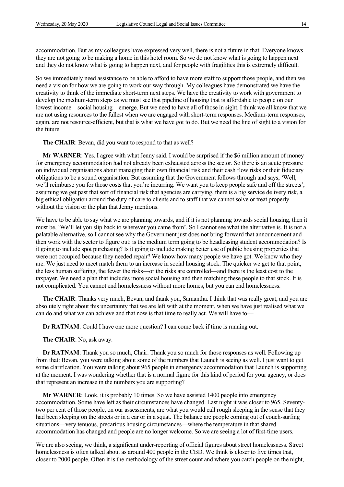accommodation. But as my colleagues have expressed very well, there is not a future in that. Everyone knows they are not going to be making a home in this hotel room. So we do not know what is going to happen next and they do not know what is going to happen next, and for people with fragilities this is extremely difficult.

So we immediately need assistance to be able to afford to have more staff to support those people, and then we need a vision for how we are going to work our way through. My colleagues have demonstrated we have the creativity to think of the immediate short-term next steps. We have the creativity to work with government to develop the medium-term steps as we must see that pipeline of housing that is affordable to people on our lowest income—social housing—emerge. But we need to have all of those in sight. I think we all know that we are not using resources to the fullest when we are engaged with short-term responses. Medium-term responses, again, are not resource-efficient, but that is what we have got to do. But we need the line of sight to a vision for the future.

**The CHAIR**: Bevan, did you want to respond to that as well?

**Mr WARNER**: Yes. I agree with what Jenny said. I would be surprised if the \$6 million amount of money for emergency accommodation had not already been exhausted across the sector. So there is an acute pressure on individual organisations about managing their own financial risk and their cash flow risks or their fiduciary obligations to be a sound organisation. But assuming that the Government follows through and says, 'Well, we'll reimburse you for those costs that you're incurring. We want you to keep people safe and off the streets', assuming we get past that sort of financial risk that agencies are carrying, there is a big service delivery risk, a big ethical obligation around the duty of care to clients and to staff that we cannot solve or treat properly without the vision or the plan that Jenny mentions.

We have to be able to say what we are planning towards, and if it is not planning towards social housing, then it must be, 'We'll let you slip back to wherever you came from'. So I cannot see what the alternative is. It is not a palatable alternative, so I cannot see why the Government just does not bring forward that announcement and then work with the sector to figure out: is the medium term going to be headleasing student accommodation? Is it going to include spot purchasing? Is it going to include making better use of public housing properties that were not occupied because they needed repair? We know how many people we have got. We know who they are. We just need to meet match them to an increase in social housing stock. The quicker we get to that point, the less human suffering, the fewer the risks—or the risks are controlled—and there is the least cost to the taxpayer. We need a plan that includes more social housing and then matching these people to that stock. It is not complicated. You cannot end homelessness without more homes, but you can end homelessness.

**The CHAIR**: Thanks very much, Bevan, and thank you, Samantha. I think that was really great, and you are absolutely right about this uncertainty that we are left with at the moment, when we have just realised what we can do and what we can achieve and that now is that time to really act. We will have to—

**Dr RATNAM**: Could I have one more question? I can come back if time is running out.

**The CHAIR**: No, ask away.

**Dr RATNAM**: Thank you so much, Chair. Thank you so much for those responses as well. Following up from that: Bevan, you were talking about some of the numbers that Launch is seeing as well. I just want to get some clarification. You were talking about 965 people in emergency accommodation that Launch is supporting at the moment. I was wondering whether that is a normal figure for this kind of period for your agency, or does that represent an increase in the numbers you are supporting?

**Mr WARNER**: Look, it is probably 10 times. So we have assisted 1400 people into emergency accommodation. Some have left as their circumstances have changed. Last night it was closer to 965. Seventytwo per cent of those people, on our assessments, are what you would call rough sleeping in the sense that they had been sleeping on the streets or in a car or in a squat. The balance are people coming out of couch-surfing situations—very tenuous, precarious housing circumstances—where the temperature in that shared accommodation has changed and people are no longer welcome. So we are seeing a lot of first-time users.

We are also seeing, we think, a significant under-reporting of official figures about street homelessness. Street homelessness is often talked about as around 400 people in the CBD. We think is closer to five times that, closer to 2000 people. Often it is the methodology of the street count and where you catch people on the night,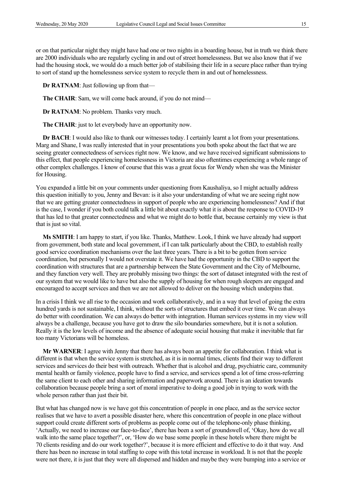or on that particular night they might have had one or two nights in a boarding house, but in truth we think there are 2000 individuals who are regularly cycling in and out of street homelessness. But we also know that if we had the housing stock, we would do a much better job of stabilising their life in a secure place rather than trying to sort of stand up the homelessness service system to recycle them in and out of homelessness.

**Dr RATNAM**: Just following up from that—

**The CHAIR**: Sam, we will come back around, if you do not mind—

**Dr RATNAM**: No problem. Thanks very much.

**The CHAIR:** just to let everybody have an opportunity now.

**Dr BACH**: I would also like to thank our witnesses today. I certainly learnt a lot from your presentations. Marg and Shane, I was really interested that in your presentations you both spoke about the fact that we are seeing greater connectedness of services right now. We know, and we have received significant submissions to this effect, that people experiencing homelessness in Victoria are also oftentimes experiencing a whole range of other complex challenges. I know of course that this was a great focus for Wendy when she was the Minister for Housing.

You expanded a little bit on your comments under questioning from Kaushaliya, so I might actually address this question initially to you, Jenny and Bevan: is it also your understanding of what we are seeing right now that we are getting greater connectedness in support of people who are experiencing homelessness? And if that is the case, I wonder if you both could talk a little bit about exactly what it is about the response to COVID-19 that has led to that greater connectedness and what we might do to bottle that, because certainly my view is that that is just so vital.

**Ms SMITH**: I am happy to start, if you like. Thanks, Matthew. Look, I think we have already had support from government, both state and local government, if I can talk particularly about the CBD, to establish really good service coordination mechanisms over the last three years. There is a bit to be gotten from service coordination, but personally I would not overstate it. We have had the opportunity in the CBD to support the coordination with structures that are a partnership between the State Government and the City of Melbourne, and they function very well. They are probably missing two things: the sort of dataset integrated with the rest of our system that we would like to have but also the supply of housing for when rough sleepers are engaged and encouraged to accept services and then we are not allowed to deliver on the housing which underpins that.

In a crisis I think we all rise to the occasion and work collaboratively, and in a way that level of going the extra hundred yards is not sustainable, I think, without the sorts of structures that embed it over time. We can always do better with coordination. We can always do better with integration. Human services systems in my view will always be a challenge, because you have got to draw the silo boundaries somewhere, but it is not a solution. Really it is the low levels of income and the absence of adequate social housing that make it inevitable that far too many Victorians will be homeless.

**Mr WARNER**: I agree with Jenny that there has always been an appetite for collaboration. I think what is different is that when the service system is stretched, as it is in normal times, clients find their way to different services and services do their best with outreach. Whether that is alcohol and drug, psychiatric care, community mental health or family violence, people have to find a service, and services spend a lot of time cross-referring the same client to each other and sharing information and paperwork around. There is an ideation towards collaboration because people bring a sort of moral imperative to doing a good job in trying to work with the whole person rather than just their bit.

But what has changed now is we have got this concentration of people in one place, and as the service sector realises that we have to avert a possible disaster here, where this concentration of people in one place without support could create different sorts of problems as people come out of the telephone-only phase thinking, 'Actually, we need to increase our face-to-face', there has been a sort of groundswell of, 'Okay, how do we all walk into the same place together?', or, 'How do we base some people in these hotels where there might be 70 clients residing and do our work together?', because it is more efficient and effective to do it that way. And there has been no increase in total staffing to cope with this total increase in workload. It is not that the people were not there, it is just that they were all dispersed and hidden and maybe they were bumping into a service or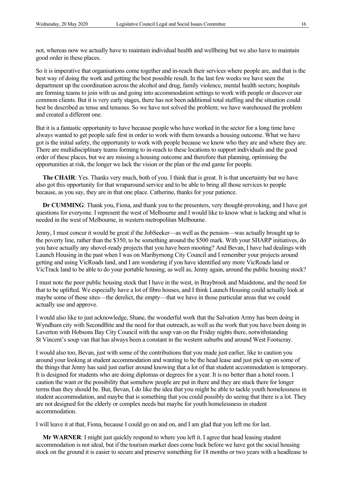not, whereas now we actually have to maintain individual health and wellbeing but we also have to maintain good order in these places.

So it is imperative that organisations come together and in-reach their services where people are, and that is the best way of doing the work and getting the best possible result. In the last few weeks we have seen the department up the coordination across the alcohol and drug, family violence, mental health sectors; hospitals are forming teams to join with us and going into accommodation settings to work with people or discover our common clients. But it is very early stages, there has not been additional total staffing and the situation could best be described as tense and tenuous. So we have not solved the problem; we have warehoused the problem and created a different one.

But it is a fantastic opportunity to have because people who have worked in the sector for a long time have always wanted to get people safe first in order to work with them towards a housing outcome. What we have got is the initial safety, the opportunity to work with people because we know who they are and where they are. There are multidisciplinary teams forming to in-reach to these locations to support individuals and the good order of these places, but we are missing a housing outcome and therefore that planning, optimising the opportunities at risk, the longer we lack the vision or the plan or the end game for people.

**The CHAIR:** Yes. Thanks very much, both of you. I think that is great. It is that uncertainty but we have also got this opportunity for that wraparound service and to be able to bring all those services to people because, as you say, they are in that one place. Catherine, thanks for your patience.

**Dr CUMMING**: Thank you, Fiona, and thank you to the presenters, very thought-provoking, and I have got questions for everyone. I represent the west of Melbourne and I would like to know what is lacking and what is needed in the west of Melbourne, in western metropolitan Melbourne.

Jenny, I must concur it would be great if the JobSeeker—as well as the pension—was actually brought up to the poverty line, rather than the \$350, to be something around the \$500 mark. With your SHARP initiatives, do you have actually any shovel-ready projects that you have been mooting? And Bevan, I have had dealings with Launch Housing in the past when I was on Maribyrnong City Council and I remember your projects around getting and using VicRoads land, and I am wondering if you have identified any more VicRoads land or VicTrack land to be able to do your portable housing, as well as, Jenny again, around the public housing stock?

I must note the poor public housing stock that I have in the west, in Braybrook and Maidstone, and the need for that to be uplifted. We especially have a lot of fibro houses, and I think Launch Housing could actually look at maybe some of those sites—the derelict, the empty—that we have in those particular areas that we could actually use and approve.

I would also like to just acknowledge, Shane, the wonderful work that the Salvation Army has been doing in Wyndham city with SecondBite and the need for that outreach, as well as the work that you have been doing in Laverton with Hobsons Bay City Council with the soup van on the Friday nights there, notwithstanding St Vincent's soup van that has always been a constant in the western suburbs and around West Footscray.

I would also too, Bevan, just with some of the contributions that you made just earlier, like to caution you around your looking at student accommodation and wanting to be the head lease and just pick up on some of the things that Jenny has said just earlier around knowing that a lot of that student accommodation is temporary. It is designed for students who are doing diplomas or degrees for a year. It is no better than a hotel room. I caution the want or the possibility that somehow people are put in there and they are stuck there for longer terms than they should be. But, Bevan, I do like the idea that you might be able to tackle youth homelessness in student accommodation, and maybe that is something that you could possibly do seeing that there is a lot. They are not designed for the elderly or complex needs but maybe for youth homelessness in student accommodation.

I will leave it at that, Fiona, because I could go on and on, and I am glad that you left me for last.

**Mr WARNER**: I might just quickly respond to where you left it. I agree that head leasing student accommodation is not ideal, but if the tourism market does come back before we have got the social housing stock on the ground it is easier to secure and preserve something for 18 months or two years with a headlease to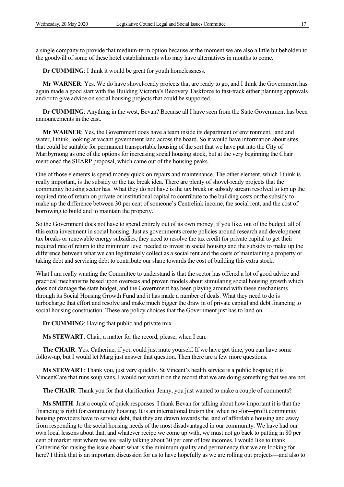a single company to provide that medium-term option because at the moment we are also a little bit beholden to the goodwill of some of these hotel establishments who may have alternatives in months to come.

**Dr CUMMING:** I think it would be great for youth homelessness.

**Mr WARNER**: Yes. We do have shovel-ready projects that are ready to go, and I think the Government has again made a good start with the Building Victoria's Recovery Taskforce to fast-track either planning approvals and/or to give advice on social housing projects that could be supported.

**Dr CUMMING**: Anything in the west, Bevan? Because all I have seen from the State Government has been announcements in the east.

**Mr WARNER**: Yes, the Government does have a team inside its department of environment, land and water, I think, looking at vacant government land across the board. So it would have information about sites that could be suitable for permanent transportable housing of the sort that we have put into the City of Maribyrnong as one of the options for increasing social housing stock, but at the very beginning the Chair mentioned the SHARP proposal, which came out of the housing peaks.

One of those elements is spend money quick on repairs and maintenance. The other element, which I think is really important, is the subsidy or the tax break idea. There are plenty of shovel-ready projects that the community housing sector has. What they do not have is the tax break or subsidy stream resolved to top up the required rate of return on private or institutional capital to contribute to the building costs or the subsidy to make up the difference between 30 per cent of someone's Centrelink income, the social rent, and the cost of borrowing to build and to maintain the property.

So the Government does not have to spend entirely out of its own money, if you like, out of the budget, all of this extra investment in social housing. Just as governments create policies around research and development tax breaks or renewable energy subsidies, they need to resolve the tax credit for private capital to get their required rate of return to the minimum level needed to invest in social housing and the subsidy to make up the difference between what we can legitimately collect as a social rent and the costs of maintaining a property or taking debt and servicing debt to contribute our share towards the cost of building this extra stock.

What I am really wanting the Committee to understand is that the sector has offered a lot of good advice and practical mechanisms based upon overseas and proven models about stimulating social housing growth which does not damage the state budget, and the Government has been playing around with these mechanisms through its Social Housing Growth Fund and it has made a number of deals. What they need to do is turbocharge that effort and resolve and make much bigger the draw in of private capital and debt financing to social housing construction. These are policy choices that the Government just has to land on.

**Dr CUMMING**: Having that public and private mix—

**Ms STEWART**: Chair, a matter for the record, please, when I can.

**The CHAIR**: Yes. Catherine, if you could just mute yourself. If we have got time, you can have some follow-up, but I would let Marg just answer that question. Then there are a few more questions.

**Ms STEWART**: Thank you, just very quickly. St Vincent's health service is a public hospital; it is VincentCare that runs soup vans. I would not want it on the record that we are doing something that we are not.

**The CHAIR**: Thank you for that clarification. Jenny, you just wanted to make a couple of comments?

**Ms SMITH**: Just a couple of quick responses. I thank Bevan for talking about how important it is that the financing is right for community housing. It is an international truism that when not-for---profit community housing providers have to service debt, that they are drawn towards the land of affordable housing and away from responding to the social housing needs of the most disadvantaged in our community. We have had our own local lessons about that, and whatever recipe we come up with, we must not go back to putting in 80 per cent of market rent where we are really talking about 30 per cent of low incomes. I would like to thank Catherine for raising the issue about: what is the minimum quality and permanency that we are looking for here? I think that is an important discussion for us to have hopefully as we are rolling out projects—and also to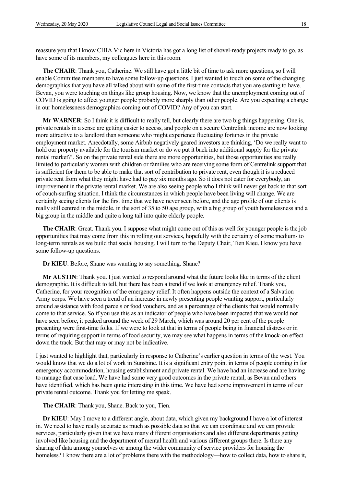reassure you that I know CHIA Vic here in Victoria has got a long list of shovel-ready projects ready to go, as have some of its members, my colleagues here in this room.

**The CHAIR**: Thank you, Catherine. We still have got a little bit of time to ask more questions, so I will enable Committee members to have some follow-up questions. I just wanted to touch on some of the changing demographics that you have all talked about with some of the first-time contacts that you are starting to have. Bevan, you were touching on things like group housing. Now, we know that the unemployment coming out of COVID is going to affect younger people probably more sharply than other people. Are you expecting a change in our homelessness demographics coming out of COVID? Any of you can start.

**Mr WARNER**: So I think it is difficult to really tell, but clearly there are two big things happening. One is, private rentals in a sense are getting easier to access, and people on a secure Centrelink income are now looking more attractive to a landlord than someone who might experience fluctuating fortunes in the private employment market. Anecdotally, some Airbnb negatively geared investors are thinking, 'Do we really want to hold our property available for the tourism market or do we put it back into additional supply for the private rental market?'. So on the private rental side there are more opportunities, but those opportunities are really limited to particularly women with children or families who are receiving some form of Centrelink support that is sufficient for them to be able to make that sort of contribution to private rent, even though it is a reduced private rent from what they might have had to pay six months ago. So it does not cater for everybody, an improvement in the private rental market. We are also seeing people who I think will never get back to that sort of couch-surfing situation. I think the circumstances in which people have been living will change. We are certainly seeing clients for the first time that we have never seen before, and the age profile of our clients is really still centred in the middle, in the sort of 35 to 50 age group, with a big group of youth homelessness and a big group in the middle and quite a long tail into quite elderly people.

**The CHAIR**: Great. Thank you. I suppose what might come out of this as well for younger people is the job opportunities that may come from this in rolling out services, hopefully with the certainty of some medium- to long-term rentals as we build that social housing. I will turn to the Deputy Chair, Tien Kieu. I know you have some follow-up questions.

**Dr KIEU**: Before, Shane was wanting to say something. Shane?

**Mr AUSTIN**: Thank you. I just wanted to respond around what the future looks like in terms of the client demographic. It is difficult to tell, but there has been a trend if we look at emergency relief. Thank you, Catherine, for your recognition of the emergency relief. It often happens outside the context of a Salvation Army corps. We have seen a trend of an increase in newly presenting people wanting support, particularly around assistance with food parcels or food vouchers, and as a percentage of the clients that would normally come to that service. So if you use this as an indicator of people who have been impacted that we would not have seen before, it peaked around the week of 29 March, which was around 20 per cent of the people presenting were first-time folks. If we were to look at that in terms of people being in financial distress or in terms of requiring support in terms of food security, we may see what happens in terms of the knock-on effect down the track. But that may or may not be indicative.

I just wanted to highlight that, particularly in response to Catherine's earlier question in terms of the west. You would know that we do a lot of work in Sunshine. It is a significant entry point in terms of people coming in for emergency accommodation, housing establishment and private rental. We have had an increase and are having to manage that case load. We have had some very good outcomes in the private rental, as Bevan and others have identified, which has been quite interesting in this time. We have had some improvement in terms of our private rental outcome. Thank you for letting me speak.

#### **The CHAIR**: Thank you, Shane. Back to you, Tien.

**Dr KIEU**: May I move to a different angle, about data, which given my background I have a lot of interest in. We need to have really accurate as much as possible data so that we can coordinate and we can provide services, particularly given that we have many different organisations and also different departments getting involved like housing and the department of mental health and various different groups there. Is there any sharing of data among yourselves or among the wider community of service providers for housing the homeless? I know there are a lot of problems there with the methodology—how to collect data, how to share it,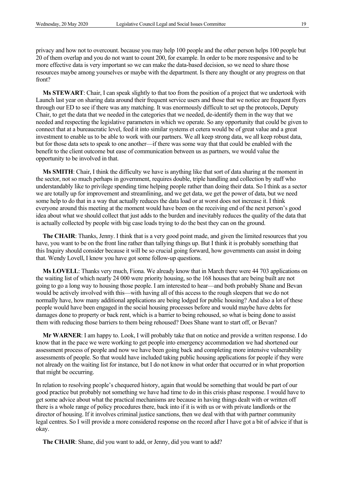privacy and how not to overcount. because you may help 100 people and the other person helps 100 people but 20 of them overlap and you do not want to count 200, for example. In order to be more responsive and to be more effective data is very important so we can make the data-based decision, so we need to share those resources maybe among yourselves or maybe with the department. Is there any thought or any progress on that front?

**Ms STEWART**: Chair, I can speak slightly to that too from the position of a project that we undertook with Launch last year on sharing data around their frequent service users and those that we notice are frequent flyers through our ED to see if there was any matching. It was enormously difficult to set up the protocols, Deputy Chair, to get the data that we needed in the categories that we needed, de-identify them in the way that we needed and respecting the legislative parameters in which we operate. So any opportunity that could be given to connect that at a bureaucratic level, feed it into similar systems et cetera would be of great value and a great investment to enable us to be able to work with our partners. We all keep strong data, we all keep robust data, but for those data sets to speak to one another—if there was some way that that could be enabled with the benefit to the client outcome but ease of communication between us as partners, we would value the opportunity to be involved in that.

**Ms SMITH**: Chair, I think the difficulty we have is anything like that sort of data sharing at the moment in the sector, not so much perhaps in government, requires double, triple handling and collection by staff who understandably like to privilege spending time helping people rather than doing their data. So I think as a sector we are totally up for improvement and streamlining, and we get data, we get the power of data, but we need some help to do that in a way that actually reduces the data load or at worst does not increase it. I think everyone around this meeting at the moment would have been on the receiving end of the next person's good idea about what we should collect that just adds to the burden and inevitably reduces the quality of the data that is actually collected by people with big case loads trying to do the best they can on the ground.

**The CHAIR**: Thanks, Jenny. I think that is a very good point made, and given the limited resources that you have, you want to be on the front line rather than tallying things up. But I think it is probably something that this Inquiry should consider because it will be so crucial going forward, how governments can assist in doing that. Wendy Lovell, I know you have got some follow-up questions.

**Ms LOVELL**: Thanks very much, Fiona. We already know that in March there were 44 703 applications on the waiting list of which nearly 24 000 were priority housing, so the 168 houses that are being built are not going to go a long way to housing those people. I am interested to hear—and both probably Shane and Bevan would be actively involved with this—with having all of this access to the rough sleepers that we do not normally have, how many additional applications are being lodged for public housing? And also a lot of these people would have been engaged in the social housing processes before and would maybe have debts for damages done to property or back rent, which is a barrier to being rehoused, so what is being done to assist them with reducing those barriers to them being rehoused? Does Shane want to start off, or Bevan?

**Mr WARNER**: I am happy to. Look, I will probably take that on notice and provide a written response. I do know that in the pace we were working to get people into emergency accommodation we had shortened our assessment process of people and now we have been going back and completing more intensive vulnerability assessments of people. So that would have included taking public housing applications for people if they were not already on the waiting list for instance, but I do not know in what order that occurred or in what proportion that might be occurring.

In relation to resolving people's chequered history, again that would be something that would be part of our good practice but probably not something we have had time to do in this crisis phase response. I would have to get some advice about what the practical mechanisms are because in having things dealt with or written off there is a whole range of policy procedures there, back into if it is with us or with private landlords or the director of housing. If it involves criminal justice sanctions, then we deal with that with partner community legal centres. So I will provide a more considered response on the record after I have got a bit of advice if that is okay.

**The CHAIR**: Shane, did you want to add, or Jenny, did you want to add?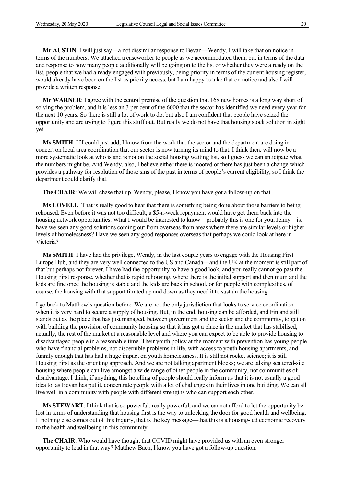**Mr AUSTIN**: I will just say—a not dissimilar response to Bevan—Wendy, I will take that on notice in terms of the numbers. We attached a caseworker to people as we accommodated them, but in terms of the data and response to how many people additionally will be going on to the list or whether they were already on the list, people that we had already engaged with previously, being priority in terms of the current housing register, would already have been on the list as priority access, but I am happy to take that on notice and also I will provide a written response.

**Mr WARNER**: I agree with the central premise of the question that 168 new homes is a long way short of solving the problem, and it is less an 3 per cent of the 6000 that the sector has identified we need every year for the next 10 years. So there is still a lot of work to do, but also I am confident that people have seized the opportunity and are trying to figure this stuff out. But really we do not have that housing stock solution in sight yet.

**Ms SMITH**: If I could just add, I know from the work that the sector and the department are doing in concert on local area coordination that our sector is now turning its mind to that. I think there will now be a more systematic look at who is and is not on the social housing waiting list, so I guess we can anticipate what the numbers might be. And Wendy, also, I believe either there is mooted or there has just been a change which provides a pathway for resolution of those sins of the past in terms of people's current eligibility, so I think the department could clarify that.

**The CHAIR**: We will chase that up. Wendy, please, I know you have got a follow-up on that.

**Ms LOVELL**: That is really good to hear that there is something being done about those barriers to being rehoused. Even before it was not too difficult; a \$5-a-week repayment would have got them back into the housing network opportunities. What I would be interested to know—probably this is one for you, Jenny—is: have we seen any good solutions coming out from overseas from areas where there are similar levels or higher levels of homelessness? Have we seen any good responses overseas that perhaps we could look at here in Victoria?

**Ms SMITH**: I have had the privilege, Wendy, in the last couple years to engage with the Housing First Europe Hub, and they are very well connected to the US and Canada—and the UK at the moment is still part of that but perhaps not forever. I have had the opportunity to have a good look, and you really cannot go past the Housing First response, whether that is rapid rehousing, where there is the initial support and then mum and the kids are fine once the housing is stable and the kids are back in school, or for people with complexities, of course, the housing with that support titrated up and down as they need it to sustain the housing.

I go back to Matthew's question before. We are not the only jurisdiction that looks to service coordination when it is very hard to secure a supply of housing. But, in the end, housing can be afforded, and Finland still stands out as the place that has just managed, between government and the sector and the community, to get on with building the provision of community housing so that it has got a place in the market that has stabilised, actually, the rest of the market at a reasonable level and where you can expect to be able to provide housing to disadvantaged people in a reasonable time. Their youth policy at the moment with prevention has young people who have financial problems, not discernible problems in life, with access to youth housing apartments, and funnily enough that has had a huge impact on youth homelessness. It is still not rocket science; it is still Housing First as the orienting approach. And we are not talking apartment blocks; we are talking scattered-site housing where people can live amongst a wide range of other people in the community, not communities of disadvantage. I think, if anything, this hotelling of people should really inform us that it is not usually a good idea to, as Bevan has put it, concentrate people with a lot of challenges in their lives in one building. We can all live well in a community with people with different strengths who can support each other.

**Ms STEWART**: I think that is so powerful, really powerful, and we cannot afford to let the opportunity be lost in terms of understanding that housing first is the way to unlocking the door for good health and wellbeing. If nothing else comes out of this Inquiry, that is the key message—that this is a housing-led economic recovery to the health and wellbeing in this community.

**The CHAIR**: Who would have thought that COVID might have provided us with an even stronger opportunity to lead in that way? Matthew Bach, I know you have got a follow-up question.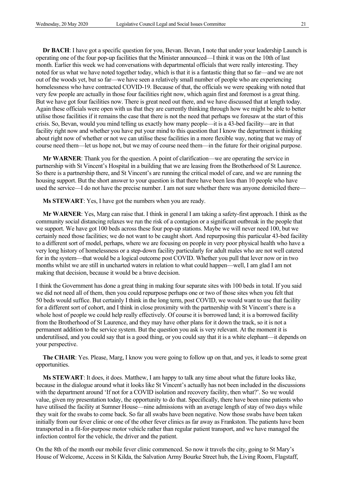**Dr BACH**: I have got a specific question for you, Bevan. Bevan, I note that under your leadership Launch is operating one of the four pop-up facilities that the Minister announced—I think it was on the 10th of last month. Earlier this week we had conversations with departmental officials that were really interesting. They noted for us what we have noted together today, which is that it is a fantastic thing that so far—and we are not out of the woods yet, but so far—we have seen a relatively small number of people who are experiencing homelessness who have contracted COVID-19. Because of that, the officials we were speaking with noted that very few people are actually in those four facilities right now, which again first and foremost is a great thing. But we have got four facilities now. There is great need out there, and we have discussed that at length today. Again these officials were open with us that they are currently thinking through how we might be able to better utilise those facilities if it remains the case that there is not the need that perhaps we foresaw at the start of this crisis. So, Bevan, would you mind telling us exactly how many people—it is a 43-bed facility—are in that facility right now and whether you have put your mind to this question that I know the department is thinking about right now of whether or not we can utilise these facilities in a more flexible way, noting that we may of course need them—let us hope not, but we may of course need them—in the future for their original purpose.

**Mr WARNER**: Thank you for the question. A point of clarification—we are operating the service in partnership with St Vincent's Hospital in a building that we are leasing from the Brotherhood of St Laurence. So there is a partnership there, and St Vincent's are running the critical model of care, and we are running the housing support. But the short answer to your question is that there have been less than 10 people who have used the service—I do not have the precise number. I am not sure whether there was anyone domiciled there—

**Ms STEWART**: Yes, I have got the numbers when you are ready.

**Mr WARNER**: Yes, Marg can raise that. I think in general I am taking a safety-first approach. I think as the community social distancing relaxes we run the risk of a contagion or a significant outbreak in the people that we support. We have got 100 beds across these four pop-up stations. Maybe we will never need 100, but we certainly need those facilities; we do not want to be caught short. And repurposing this particular 43-bed facility to a different sort of model, perhaps, where we are focusing on people in very poor physical health who have a very long history of homelessness or a step-down facility particularly for adult males who are not well catered for in the system—that would be a logical outcome post COVID. Whether you pull that lever now or in two months whilst we are still in uncharted waters in relation to what could happen—well, I am glad I am not making that decision, because it would be a brave decision.

I think the Government has done a great thing in making four separate sites with 100 beds in total. If you said we did not need all of them, then you could repurpose perhaps one or two of those sites when you felt that 50 beds would suffice. But certainly I think in the long term, post COVID, we would want to use that facility for a different sort of cohort, and I think in close proximity with the partnership with St Vincent's there is a whole host of people we could help really effectively. Of course it is borrowed land; it is a borrowed facility from the Brotherhood of St Laurence, and they may have other plans for it down the track, so it is not a permanent addition to the service system. But the question you ask is very relevant. At the moment it is underutilised, and you could say that is a good thing, or you could say that it is a white elephant—it depends on your perspective.

**The CHAIR**: Yes. Please, Marg, I know you were going to follow up on that, and yes, it leads to some great opportunities.

**Ms STEWART**: It does, it does. Matthew, I am happy to talk any time about what the future looks like, because in the dialogue around what it looks like St Vincent's actually has not been included in the discussions with the department around 'If not for a COVID isolation and recovery facility, then what?'. So we would value, given my presentation today, the opportunity to do that. Specifically, there have been nine patients who have utilised the facility at Sumner House—nine admissions with an average length of stay of two days while they wait for the swabs to come back. So far all swabs have been negative. Now those swabs have been taken initially from our fever clinic or one of the other fever clinics as far away as Frankston. The patients have been transported in a fit-for-purpose motor vehicle rather than regular patient transport, and we have managed the infection control for the vehicle, the driver and the patient.

On the 8th of the month our mobile fever clinic commenced. So now it travels the city, going to St Mary's House of Welcome, Access in St Kilda, the Salvation Army Bourke Street hub, the Living Room, Flagstaff,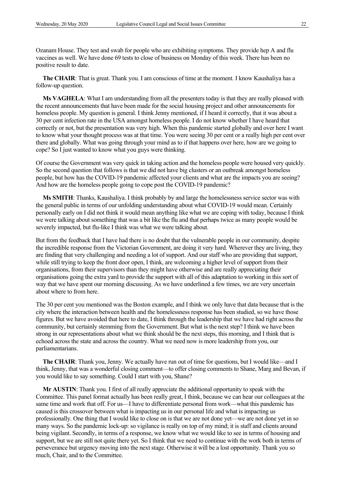Ozanam House. They test and swab for people who are exhibiting symptoms. They provide hep A and flu vaccines as well. We have done 69 tests to close of business on Monday of this week. There has been no positive result to date.

**The CHAIR**: That is great. Thank you. I am conscious of time at the moment. I know Kaushaliya has a follow-up question.

**Ms VAGHELA**: What I am understanding from all the presenters today is that they are really pleased with the recent announcements that have been made for the social housing project and other announcements for homeless people. My question is general. I think Jenny mentioned, if I heard it correctly, that it was about a 30 per cent infection rate in the USA amongst homeless people. I do not know whether I have heard that correctly or not, but the presentation was very high. When this pandemic started globally and over here I want to know what your thought process was at that time. You were seeing 30 per cent or a really high per cent over there and globally. What was going through your mind as to if that happens over here, how are we going to cope? So I just wanted to know what you guys were thinking.

Of course the Government was very quick in taking action and the homeless people were housed very quickly. So the second question that follows is that we did not have big clusters or an outbreak amongst homeless people, but how has the COVID-19 pandemic affected your clients and what are the impacts you are seeing? And how are the homeless people going to cope post the COVID-19 pandemic?

**Ms SMITH**: Thanks, Kaushaliya. I think probably by and large the homelessness service sector was with the general public in terms of our unfolding understanding about what COVID-19 would mean. Certainly personally early on I did not think it would mean anything like what we are coping with today, because I think we were talking about something that was a bit like the flu and that perhaps twice as many people would be severely impacted, but flu-like I think was what we were talking about.

But from the feedback that I have had there is no doubt that the vulnerable people in our community, despite the incredible response from the Victorian Government, are doing it very hard. Wherever they are living, they are finding that very challenging and needing a lot of support. And our staff who are providing that support, while still trying to keep the front door open, I think, are welcoming a higher level of support from their organisations, from their supervisors than they might have otherwise and are really appreciating their organisations going the extra yard to provide the support with all of this adaptation to working in this sort of way that we have spent our morning discussing. As we have underlined a few times, we are very uncertain about where to from here.

The 30 per cent you mentioned was the Boston example, and I think we only have that data because that is the city where the interaction between health and the homelessness response has been studied, so we have those figures. But we have avoided that here to date, I think through the leadership that we have had right across the community, but certainly stemming from the Government. But what is the next step? I think we have been strong in our representations about what we think should be the next steps, this morning, and I think that is echoed across the state and across the country. What we need now is more leadership from you, our parliamentarians.

**The CHAIR**: Thank you, Jenny. We actually have run out of time for questions, but I would like—and I think, Jenny, that was a wonderful closing comment—to offer closing comments to Shane, Marg and Bevan, if you would like to say something. Could I start with you, Shane?

**Mr AUSTIN**: Thank you. I first of all really appreciate the additional opportunity to speak with the Committee. This panel format actually has been really great, I think, because we can hear our colleagues at the same time and work that off. For us—I have to differentiate personal from work—what this pandemic has caused is this crossover between what is impacting us in our personal life and what is impacting us professionally. One thing that I would like to close on is that we are not done yet—we are not done yet in so many ways. So the pandemic lock-up: so vigilance is really on top of my mind; it is staff and clients around being vigilant. Secondly, in terms of a response, we know what we would like to see in terms of housing and support, but we are still not quite there yet. So I think that we need to continue with the work both in terms of perseverance but urgency moving into the next stage. Otherwise it will be a lost opportunity. Thank you so much, Chair, and to the Committee.